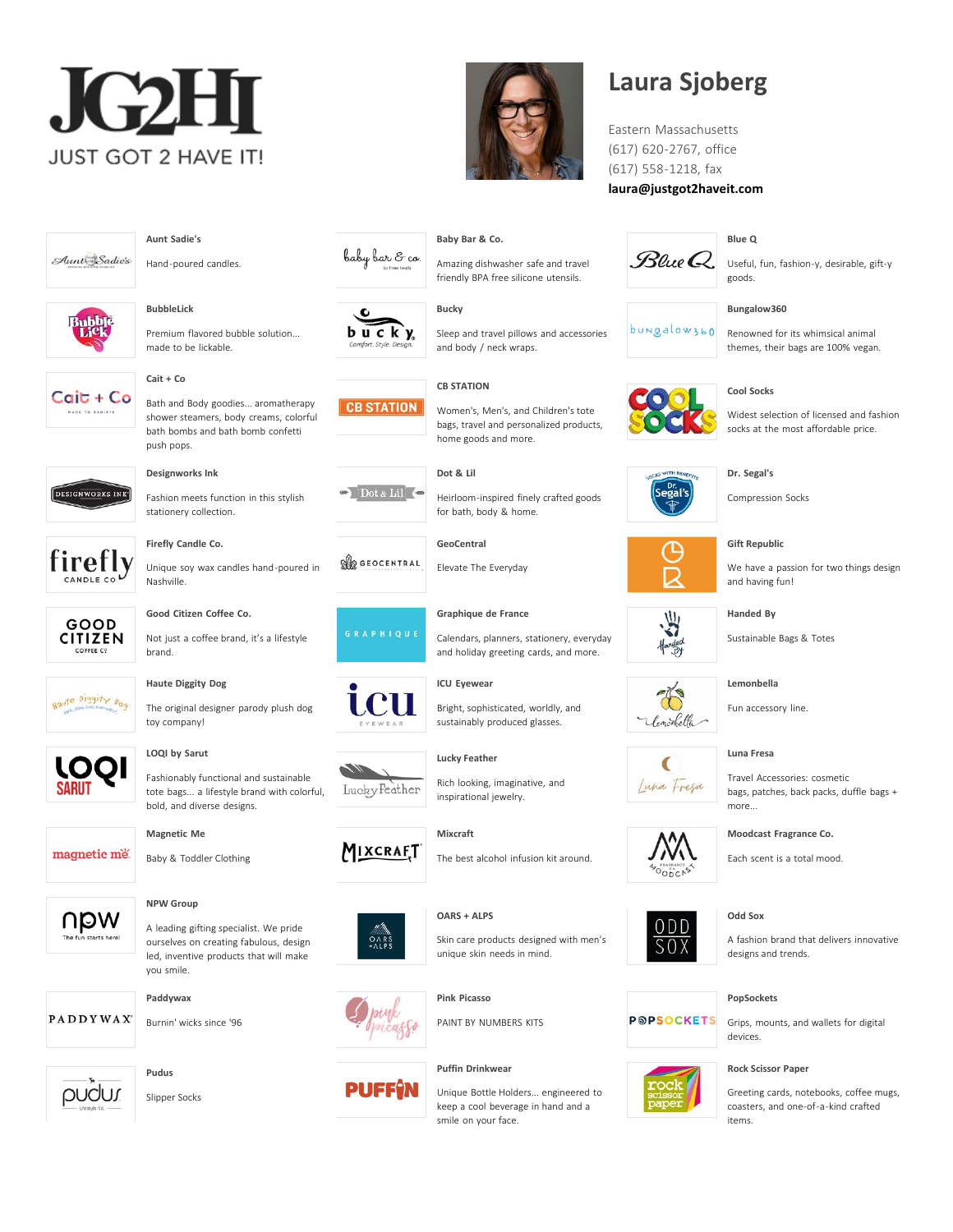



Amazing dishwasher safe and travel friendly BPA free silicone utensils.

Sleep and travel pillows and accessories

Women's, Men's, and Children's tote bags, travel and personalized products,

and body / neck wraps.

home goods and more.

for bath, body & home.

Elevate The Everyday

**[Graphique de France](https://www.justgot2haveit.com/lines/graphique-de-france/)**

**[ICU Eyewear](https://www.justgot2haveit.com/lines/icu-eyewear/)**

**[Baby Bar & Co.](https://www.justgot2haveit.com/lines/baby-bar-co/)**

**[Bucky](https://www.justgot2haveit.com/lines/bucky/)**

**[CB STATION](https://www.justgot2haveit.com/lines/cb-station/)**

**[Dot & Lil](https://www.justgot2haveit.com/lines/dot-lil/)**

**[GeoCentral](https://www.justgot2haveit.com/lines/geocentral/)**

## **Laura Sjoberg**

Eastern Massachusetts (617) 620-2767, office (617) 558-1218, fax **[laura@justgot2haveit.com](mailto:laura@justgot2haveit.com)**



Useful, fun, fashion-y, desirable, gift-y goods.

#### **[Bungalow360](https://www.justgot2haveit.com/lines/bungalow360/)**

**[Blue Q](https://www.justgot2haveit.com/lines/blue-q/)**



Renowned for its whimsical animal themes, their bags are 100% vegan.



Widest selection of licensed and fashion socks at the most affordable price.





**[Handed By](https://www.justgot2haveit.com/lines/handed-by/)**

Sustainable Bags & Totes

**[Lemonbella](https://www.justgot2haveit.com/lines/lemonbella/)**

Fun accessory line.

**[Luna Fresa](https://www.justgot2haveit.com/lines/luna-fresa/)**

Travel Accessories: cosmetic bags, patches, back packs, duffle bags + more...



**[Odd Sox](https://www.justgot2haveit.com/lines/odd-sox/)**

#### **[PopSockets](https://www.justgot2haveit.com/lines/popsockets/)**

Grips, mounts, and wallets for digital devices.

#### **[Rock Scissor Paper](https://www.justgot2haveit.com/lines/rock-scissor-paper/)**

Greeting cards, notebooks, coffee mugs, coasters, and one-of-a-kind crafted items.



Hand-poured candles.

**[Aunt Sadie's](https://www.justgot2haveit.com/lines/aunt-sadies-inc/)**



**[BubbleLick](https://www.justgot2haveit.com/lines/bubblelick/)**





**[Cait + Co](https://www.justgot2haveit.com/lines/cait-co/)**

 $C$ ait +  $Co$ Bath and Body goodies... aromatherapy shower steamers, body creams, colorful bath bombs and bath bomb confetti push pops.

Fashion meets function in this stylish

Unique soy wax candles hand-poured in



HADE TO RADIATE

### stationery collection.

**[Designworks Ink](https://www.justgot2haveit.com/lines/designworks-ink/)**

**[Firefly Candle Co.](https://www.justgot2haveit.com/lines/firefly-candle-co/)**

firefly

**CITIZEN** COFFEE C9

Haute Diggity Dog



Not just a coffee brand, it's a lifestyle brand.

#### **[Haute Diggity Dog](https://www.justgot2haveit.com/lines/haute-diggity-dog/)**

The original designer parody plush dog toy company!



#### **[LOQI by Sarut](https://www.justgot2haveit.com/lines/loqi-by-sarut/)**

Fashionably functional and sustainable tote bags... a lifestyle brand with colorful, bold, and diverse designs.

#### **[Magnetic Me](https://www.justgot2haveit.com/lines/magnetic-me/)**

Baby & Toddler Clothing



magnetic me

#### **[NPW Group](https://www.justgot2haveit.com/lines/npw-group/)**

A leading gifting specialist. We pride ourselves on creating fabulous, design led, inventive products that will make you smile.



**[Pudus](https://www.justgot2haveit.com/lines/pudus/)**

Burnin' wicks since '96



**PADDYWAX** 

Slipper Socks



**OR GEOCENTRAL** 

baby bar & co.

 $b$  u c k  $y$ 

**CB STATION** 

Dot & Lil









**[Mixcraft](https://www.justgot2haveit.com/lines/mixcraft/)**



















**[Lucky Feather](https://www.justgot2haveit.com/lines/lucky-feather/)** inspirational jewelry.



Rich looking, imaginative, and

Calendars, planners, stationery, everyday and holiday greeting cards, and more.

Bright, sophisticated, worldly, and sustainably produced glasses.

The best alcohol infusion kit around.

#### **[OARS + ALPS](https://www.justgot2haveit.com/lines/oars-alps/)**

**[Pink Picasso](https://www.justgot2haveit.com/lines/pink-picasso/)**

Skin care products designed with men's unique skin needs in mind.

PAINT BY NUMBERS KITS

#### **[Puffin Drinkwear](https://www.justgot2haveit.com/lines/puffin-drinkwear/)**

Unique Bottle Holders... engineered to keep a cool beverage in hand and a smile on your face.

# Heirloom-inspired finely crafted goods

**[Gift Republic](https://www.justgot2haveit.com/lines/gift-republic/)**

**[Dr. Segal's](https://www.justgot2haveit.com/lines/dr-segals/)** Compression Socks



Lemontella

C

W



 $0DD$ 

 $SOX$ 

**POPSOCKETS** 

Each scent is a total mood.

A fashion brand that delivers innovative designs and trends.